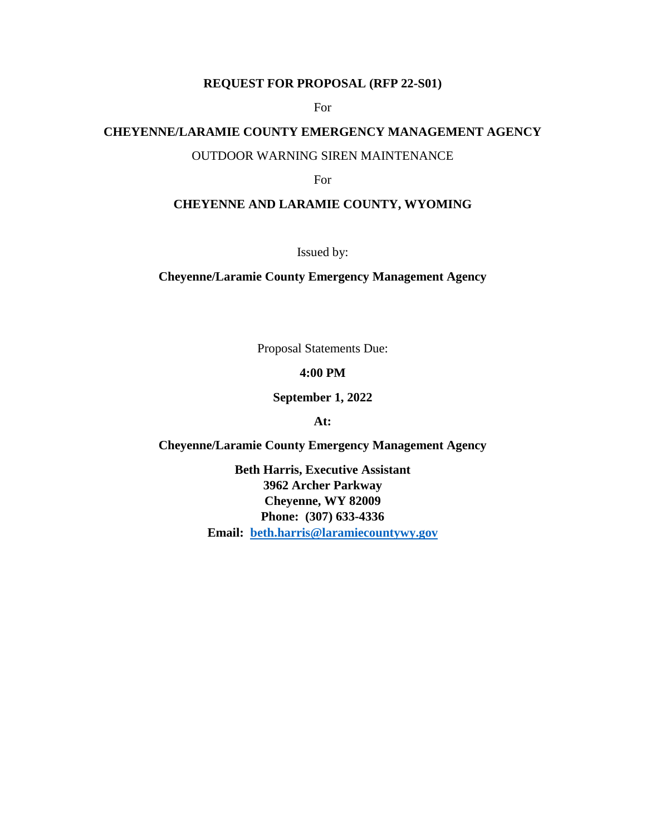# **REQUEST FOR PROPOSAL (RFP 22-S01)**

For

#### **CHEYENNE/LARAMIE COUNTY EMERGENCY MANAGEMENT AGENCY**

#### OUTDOOR WARNING SIREN MAINTENANCE

For

#### **CHEYENNE AND LARAMIE COUNTY, WYOMING**

Issued by:

**Cheyenne/Laramie County Emergency Management Agency**

Proposal Statements Due:

#### **4:00 PM**

**September 1, 2022**

**At:**

**Cheyenne/Laramie County Emergency Management Agency**

**Beth Harris, Executive Assistant 3962 Archer Parkway Cheyenne, WY 82009 Phone: (307) 633-4336 Email: [beth.harris@laramiecountywy.gov](mailto:beth.harris@laramiecountywy.gov)**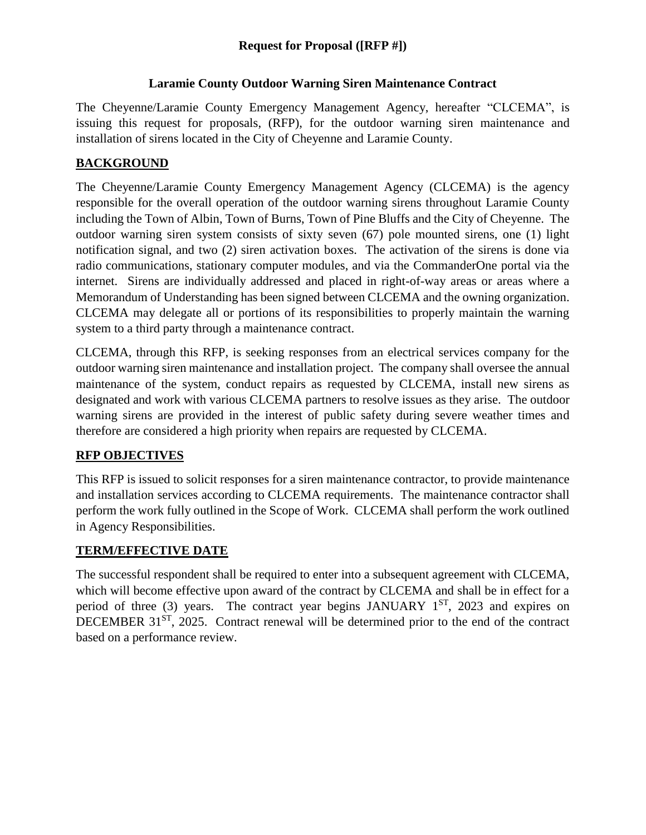## **Laramie County Outdoor Warning Siren Maintenance Contract**

The Cheyenne/Laramie County Emergency Management Agency, hereafter "CLCEMA", is issuing this request for proposals, (RFP), for the outdoor warning siren maintenance and installation of sirens located in the City of Cheyenne and Laramie County.

# **BACKGROUND**

The Cheyenne/Laramie County Emergency Management Agency (CLCEMA) is the agency responsible for the overall operation of the outdoor warning sirens throughout Laramie County including the Town of Albin, Town of Burns, Town of Pine Bluffs and the City of Cheyenne. The outdoor warning siren system consists of sixty seven (67) pole mounted sirens, one (1) light notification signal, and two (2) siren activation boxes. The activation of the sirens is done via radio communications, stationary computer modules, and via the CommanderOne portal via the internet. Sirens are individually addressed and placed in right-of-way areas or areas where a Memorandum of Understanding has been signed between CLCEMA and the owning organization. CLCEMA may delegate all or portions of its responsibilities to properly maintain the warning system to a third party through a maintenance contract.

CLCEMA, through this RFP, is seeking responses from an electrical services company for the outdoor warning siren maintenance and installation project. The company shall oversee the annual maintenance of the system, conduct repairs as requested by CLCEMA, install new sirens as designated and work with various CLCEMA partners to resolve issues as they arise. The outdoor warning sirens are provided in the interest of public safety during severe weather times and therefore are considered a high priority when repairs are requested by CLCEMA.

## **RFP OBJECTIVES**

This RFP is issued to solicit responses for a siren maintenance contractor, to provide maintenance and installation services according to CLCEMA requirements. The maintenance contractor shall perform the work fully outlined in the Scope of Work. CLCEMA shall perform the work outlined in Agency Responsibilities.

## **TERM/EFFECTIVE DATE**

The successful respondent shall be required to enter into a subsequent agreement with CLCEMA, which will become effective upon award of the contract by CLCEMA and shall be in effect for a period of three (3) years. The contract year begins  $JANUARY$   $1^{ST}$ , 2023 and expires on DECEMBER 31<sup>ST</sup>, 2025. Contract renewal will be determined prior to the end of the contract based on a performance review.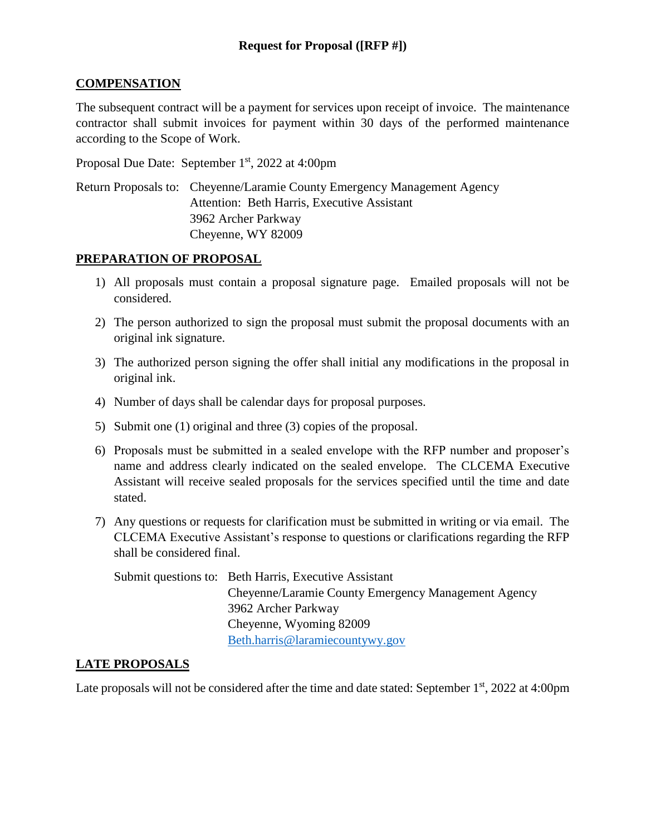#### **COMPENSATION**

The subsequent contract will be a payment for services upon receipt of invoice. The maintenance contractor shall submit invoices for payment within 30 days of the performed maintenance according to the Scope of Work.

Proposal Due Date: September 1<sup>st</sup>, 2022 at 4:00pm

Return Proposals to: Cheyenne/Laramie County Emergency Management Agency Attention: Beth Harris, Executive Assistant 3962 Archer Parkway Cheyenne, WY 82009

#### **PREPARATION OF PROPOSAL**

- 1) All proposals must contain a proposal signature page. Emailed proposals will not be considered.
- 2) The person authorized to sign the proposal must submit the proposal documents with an original ink signature.
- 3) The authorized person signing the offer shall initial any modifications in the proposal in original ink.
- 4) Number of days shall be calendar days for proposal purposes.
- 5) Submit one (1) original and three (3) copies of the proposal.
- 6) Proposals must be submitted in a sealed envelope with the RFP number and proposer's name and address clearly indicated on the sealed envelope. The CLCEMA Executive Assistant will receive sealed proposals for the services specified until the time and date stated.
- 7) Any questions or requests for clarification must be submitted in writing or via email. The CLCEMA Executive Assistant's response to questions or clarifications regarding the RFP shall be considered final.

Submit questions to: Beth Harris, Executive Assistant Cheyenne/Laramie County Emergency Management Agency 3962 Archer Parkway Cheyenne, Wyoming 82009 [Beth.harris@laramiecountywy.gov](mailto:Beth.harris@laramiecountywy.gov)

## **LATE PROPOSALS**

Late proposals will not be considered after the time and date stated: September 1<sup>st</sup>, 2022 at 4:00pm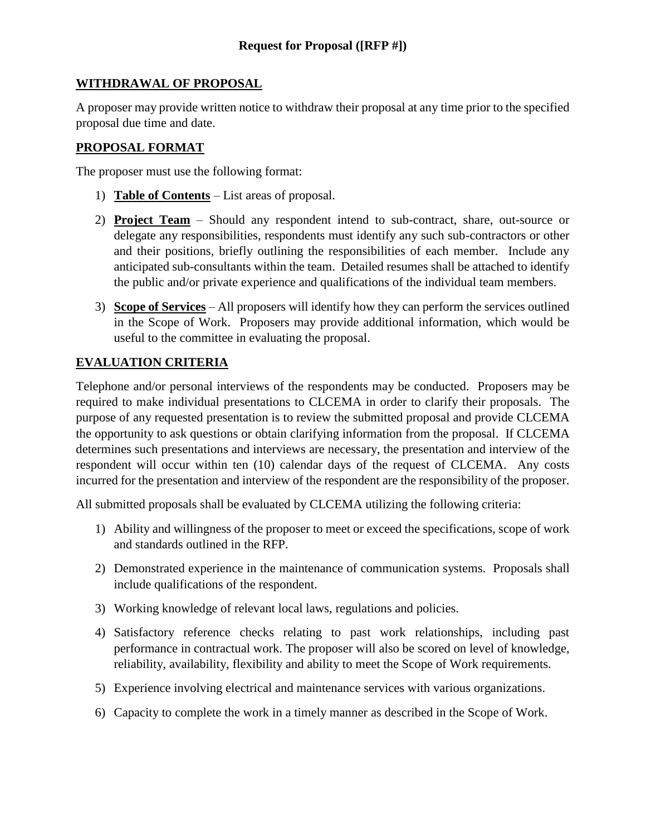## **WITHDRAWAL OF PROPOSAL**

A proposer may provide written notice to withdraw their proposal at any time prior to the specified proposal due time and date.

## **PROPOSAL FORMAT**

The proposer must use the following format:

- 1) **Table of Contents** List areas of proposal.
- 2) **Project Team** Should any respondent intend to sub-contract, share, out-source or delegate any responsibilities, respondents must identify any such sub-contractors or other and their positions, briefly outlining the responsibilities of each member. Include any anticipated sub-consultants within the team. Detailed resumes shall be attached to identify the public and/or private experience and qualifications of the individual team members.
- 3) **Scope of Services** All proposers will identify how they can perform the services outlined in the Scope of Work. Proposers may provide additional information, which would be useful to the committee in evaluating the proposal.

## **EVALUATION CRITERIA**

Telephone and/or personal interviews of the respondents may be conducted. Proposers may be required to make individual presentations to CLCEMA in order to clarify their proposals. The purpose of any requested presentation is to review the submitted proposal and provide CLCEMA the opportunity to ask questions or obtain clarifying information from the proposal. If CLCEMA determines such presentations and interviews are necessary, the presentation and interview of the respondent will occur within ten (10) calendar days of the request of CLCEMA. Any costs incurred for the presentation and interview of the respondent are the responsibility of the proposer.

All submitted proposals shall be evaluated by CLCEMA utilizing the following criteria:

- 1) Ability and willingness of the proposer to meet or exceed the specifications, scope of work and standards outlined in the RFP.
- 2) Demonstrated experience in the maintenance of communication systems. Proposals shall include qualifications of the respondent.
- 3) Working knowledge of relevant local laws, regulations and policies.
- 4) Satisfactory reference checks relating to past work relationships, including past performance in contractual work. The proposer will also be scored on level of knowledge, reliability, availability, flexibility and ability to meet the Scope of Work requirements.
- 5) Experience involving electrical and maintenance services with various organizations.
- 6) Capacity to complete the work in a timely manner as described in the Scope of Work.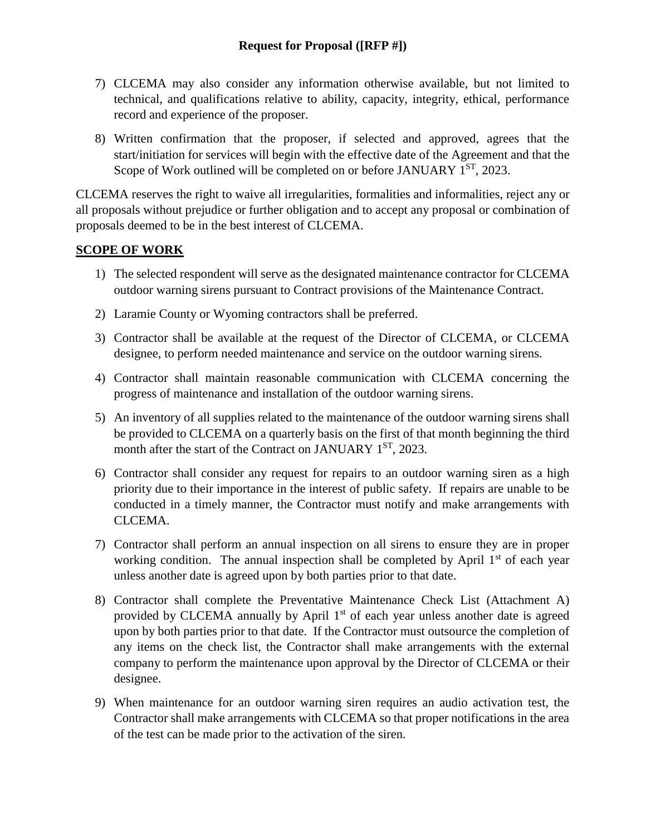- 7) CLCEMA may also consider any information otherwise available, but not limited to technical, and qualifications relative to ability, capacity, integrity, ethical, performance record and experience of the proposer.
- 8) Written confirmation that the proposer, if selected and approved, agrees that the start/initiation for services will begin with the effective date of the Agreement and that the Scope of Work outlined will be completed on or before JANUARY 1<sup>ST</sup>, 2023.

CLCEMA reserves the right to waive all irregularities, formalities and informalities, reject any or all proposals without prejudice or further obligation and to accept any proposal or combination of proposals deemed to be in the best interest of CLCEMA.

#### **SCOPE OF WORK**

- 1) The selected respondent will serve as the designated maintenance contractor for CLCEMA outdoor warning sirens pursuant to Contract provisions of the Maintenance Contract.
- 2) Laramie County or Wyoming contractors shall be preferred.
- 3) Contractor shall be available at the request of the Director of CLCEMA, or CLCEMA designee, to perform needed maintenance and service on the outdoor warning sirens.
- 4) Contractor shall maintain reasonable communication with CLCEMA concerning the progress of maintenance and installation of the outdoor warning sirens.
- 5) An inventory of all supplies related to the maintenance of the outdoor warning sirens shall be provided to CLCEMA on a quarterly basis on the first of that month beginning the third month after the start of the Contract on JANUARY 1<sup>ST</sup>, 2023.
- 6) Contractor shall consider any request for repairs to an outdoor warning siren as a high priority due to their importance in the interest of public safety. If repairs are unable to be conducted in a timely manner, the Contractor must notify and make arrangements with CLCEMA.
- 7) Contractor shall perform an annual inspection on all sirens to ensure they are in proper working condition. The annual inspection shall be completed by April  $1<sup>st</sup>$  of each year unless another date is agreed upon by both parties prior to that date.
- 8) Contractor shall complete the Preventative Maintenance Check List (Attachment A) provided by CLCEMA annually by April  $1<sup>st</sup>$  of each year unless another date is agreed upon by both parties prior to that date. If the Contractor must outsource the completion of any items on the check list, the Contractor shall make arrangements with the external company to perform the maintenance upon approval by the Director of CLCEMA or their designee.
- 9) When maintenance for an outdoor warning siren requires an audio activation test, the Contractor shall make arrangements with CLCEMA so that proper notifications in the area of the test can be made prior to the activation of the siren.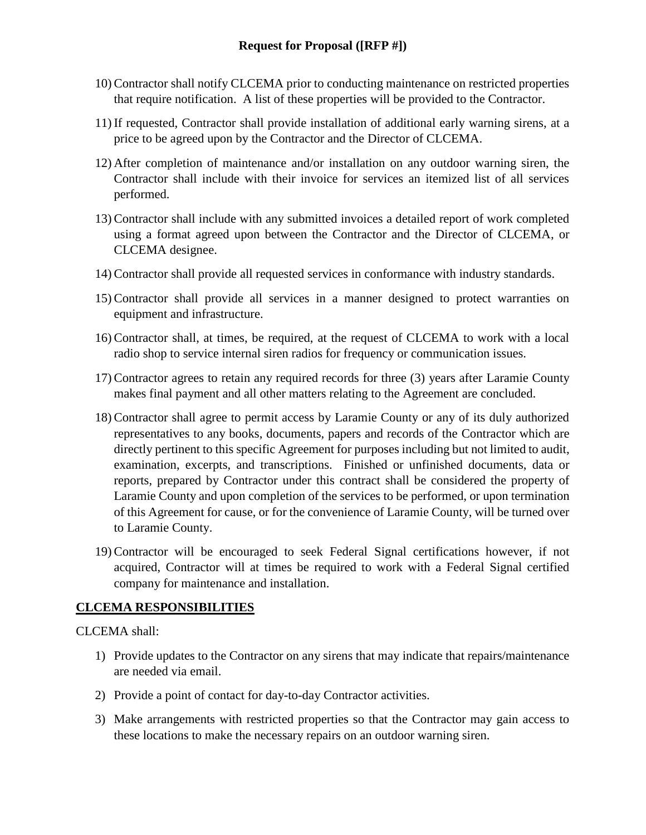- 10)Contractor shall notify CLCEMA prior to conducting maintenance on restricted properties that require notification. A list of these properties will be provided to the Contractor.
- 11) If requested, Contractor shall provide installation of additional early warning sirens, at a price to be agreed upon by the Contractor and the Director of CLCEMA.
- 12) After completion of maintenance and/or installation on any outdoor warning siren, the Contractor shall include with their invoice for services an itemized list of all services performed.
- 13)Contractor shall include with any submitted invoices a detailed report of work completed using a format agreed upon between the Contractor and the Director of CLCEMA, or CLCEMA designee.
- 14)Contractor shall provide all requested services in conformance with industry standards.
- 15)Contractor shall provide all services in a manner designed to protect warranties on equipment and infrastructure.
- 16)Contractor shall, at times, be required, at the request of CLCEMA to work with a local radio shop to service internal siren radios for frequency or communication issues.
- 17)Contractor agrees to retain any required records for three (3) years after Laramie County makes final payment and all other matters relating to the Agreement are concluded.
- 18)Contractor shall agree to permit access by Laramie County or any of its duly authorized representatives to any books, documents, papers and records of the Contractor which are directly pertinent to this specific Agreement for purposes including but not limited to audit, examination, excerpts, and transcriptions. Finished or unfinished documents, data or reports, prepared by Contractor under this contract shall be considered the property of Laramie County and upon completion of the services to be performed, or upon termination of this Agreement for cause, or for the convenience of Laramie County, will be turned over to Laramie County.
- 19)Contractor will be encouraged to seek Federal Signal certifications however, if not acquired, Contractor will at times be required to work with a Federal Signal certified company for maintenance and installation.

#### **CLCEMA RESPONSIBILITIES**

CLCEMA shall:

- 1) Provide updates to the Contractor on any sirens that may indicate that repairs/maintenance are needed via email.
- 2) Provide a point of contact for day-to-day Contractor activities.
- 3) Make arrangements with restricted properties so that the Contractor may gain access to these locations to make the necessary repairs on an outdoor warning siren.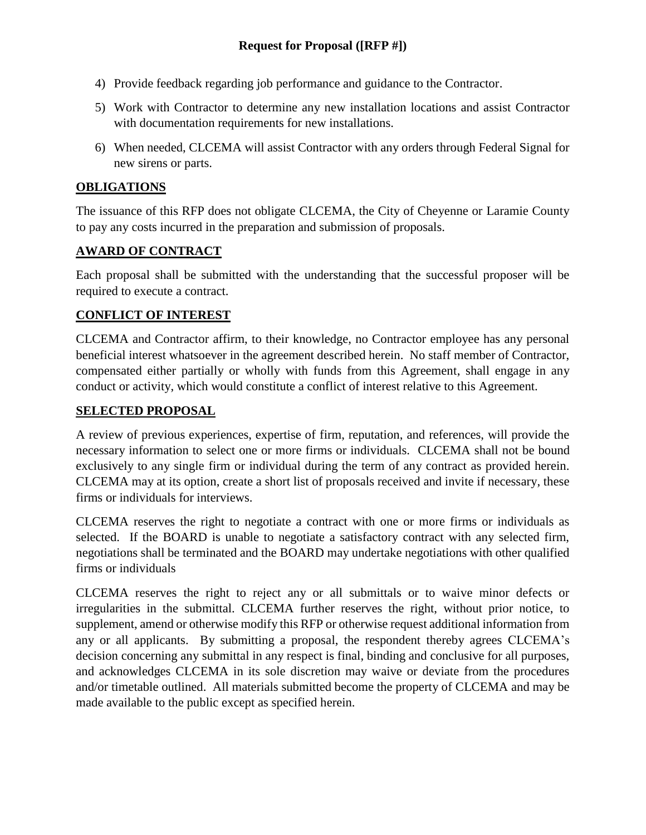- 4) Provide feedback regarding job performance and guidance to the Contractor.
- 5) Work with Contractor to determine any new installation locations and assist Contractor with documentation requirements for new installations.
- 6) When needed, CLCEMA will assist Contractor with any orders through Federal Signal for new sirens or parts.

#### **OBLIGATIONS**

The issuance of this RFP does not obligate CLCEMA, the City of Cheyenne or Laramie County to pay any costs incurred in the preparation and submission of proposals.

## **AWARD OF CONTRACT**

Each proposal shall be submitted with the understanding that the successful proposer will be required to execute a contract.

## **CONFLICT OF INTEREST**

CLCEMA and Contractor affirm, to their knowledge, no Contractor employee has any personal beneficial interest whatsoever in the agreement described herein. No staff member of Contractor, compensated either partially or wholly with funds from this Agreement, shall engage in any conduct or activity, which would constitute a conflict of interest relative to this Agreement.

#### **SELECTED PROPOSAL**

A review of previous experiences, expertise of firm, reputation, and references, will provide the necessary information to select one or more firms or individuals. CLCEMA shall not be bound exclusively to any single firm or individual during the term of any contract as provided herein. CLCEMA may at its option, create a short list of proposals received and invite if necessary, these firms or individuals for interviews.

CLCEMA reserves the right to negotiate a contract with one or more firms or individuals as selected. If the BOARD is unable to negotiate a satisfactory contract with any selected firm, negotiations shall be terminated and the BOARD may undertake negotiations with other qualified firms or individuals

CLCEMA reserves the right to reject any or all submittals or to waive minor defects or irregularities in the submittal. CLCEMA further reserves the right, without prior notice, to supplement, amend or otherwise modify this RFP or otherwise request additional information from any or all applicants. By submitting a proposal, the respondent thereby agrees CLCEMA's decision concerning any submittal in any respect is final, binding and conclusive for all purposes, and acknowledges CLCEMA in its sole discretion may waive or deviate from the procedures and/or timetable outlined. All materials submitted become the property of CLCEMA and may be made available to the public except as specified herein.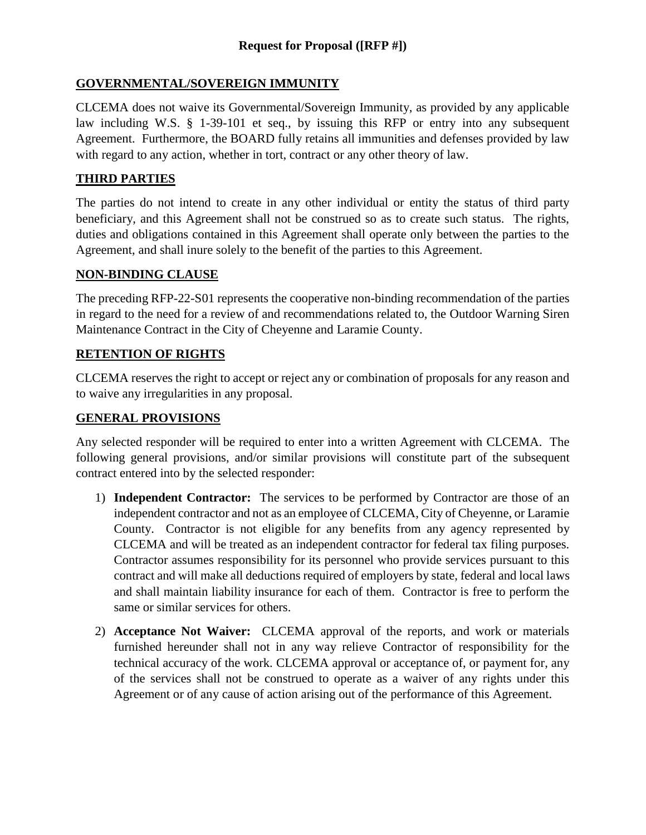## **GOVERNMENTAL/SOVEREIGN IMMUNITY**

CLCEMA does not waive its Governmental/Sovereign Immunity, as provided by any applicable law including W.S. § 1-39-101 et seq., by issuing this RFP or entry into any subsequent Agreement. Furthermore, the BOARD fully retains all immunities and defenses provided by law with regard to any action, whether in tort, contract or any other theory of law.

## **THIRD PARTIES**

The parties do not intend to create in any other individual or entity the status of third party beneficiary, and this Agreement shall not be construed so as to create such status. The rights, duties and obligations contained in this Agreement shall operate only between the parties to the Agreement, and shall inure solely to the benefit of the parties to this Agreement.

## **NON-BINDING CLAUSE**

The preceding RFP-22-S01 represents the cooperative non-binding recommendation of the parties in regard to the need for a review of and recommendations related to, the Outdoor Warning Siren Maintenance Contract in the City of Cheyenne and Laramie County.

## **RETENTION OF RIGHTS**

CLCEMA reserves the right to accept or reject any or combination of proposals for any reason and to waive any irregularities in any proposal.

#### **GENERAL PROVISIONS**

Any selected responder will be required to enter into a written Agreement with CLCEMA. The following general provisions, and/or similar provisions will constitute part of the subsequent contract entered into by the selected responder:

- 1) **Independent Contractor:** The services to be performed by Contractor are those of an independent contractor and not as an employee of CLCEMA, City of Cheyenne, or Laramie County. Contractor is not eligible for any benefits from any agency represented by CLCEMA and will be treated as an independent contractor for federal tax filing purposes. Contractor assumes responsibility for its personnel who provide services pursuant to this contract and will make all deductions required of employers by state, federal and local laws and shall maintain liability insurance for each of them. Contractor is free to perform the same or similar services for others.
- 2) **Acceptance Not Waiver:** CLCEMA approval of the reports, and work or materials furnished hereunder shall not in any way relieve Contractor of responsibility for the technical accuracy of the work. CLCEMA approval or acceptance of, or payment for, any of the services shall not be construed to operate as a waiver of any rights under this Agreement or of any cause of action arising out of the performance of this Agreement.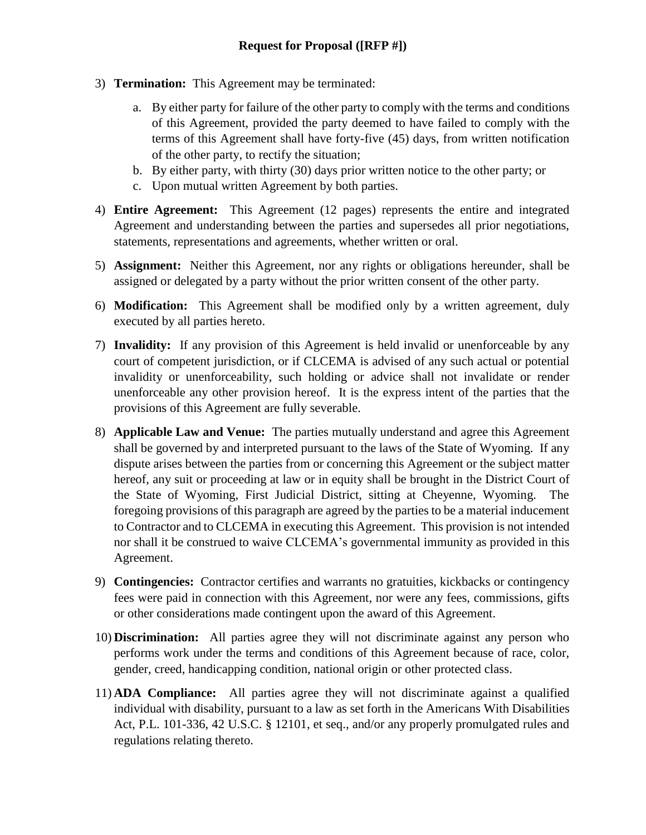- 3) **Termination:** This Agreement may be terminated:
	- a. By either party for failure of the other party to comply with the terms and conditions of this Agreement, provided the party deemed to have failed to comply with the terms of this Agreement shall have forty-five (45) days, from written notification of the other party, to rectify the situation;
	- b. By either party, with thirty (30) days prior written notice to the other party; or
	- c. Upon mutual written Agreement by both parties.
- 4) **Entire Agreement:** This Agreement (12 pages) represents the entire and integrated Agreement and understanding between the parties and supersedes all prior negotiations, statements, representations and agreements, whether written or oral.
- 5) **Assignment:** Neither this Agreement, nor any rights or obligations hereunder, shall be assigned or delegated by a party without the prior written consent of the other party.
- 6) **Modification:** This Agreement shall be modified only by a written agreement, duly executed by all parties hereto.
- 7) **Invalidity:** If any provision of this Agreement is held invalid or unenforceable by any court of competent jurisdiction, or if CLCEMA is advised of any such actual or potential invalidity or unenforceability, such holding or advice shall not invalidate or render unenforceable any other provision hereof. It is the express intent of the parties that the provisions of this Agreement are fully severable.
- 8) **Applicable Law and Venue:** The parties mutually understand and agree this Agreement shall be governed by and interpreted pursuant to the laws of the State of Wyoming. If any dispute arises between the parties from or concerning this Agreement or the subject matter hereof, any suit or proceeding at law or in equity shall be brought in the District Court of the State of Wyoming, First Judicial District, sitting at Cheyenne, Wyoming. The foregoing provisions of this paragraph are agreed by the parties to be a material inducement to Contractor and to CLCEMA in executing this Agreement. This provision is not intended nor shall it be construed to waive CLCEMA's governmental immunity as provided in this Agreement.
- 9) **Contingencies:** Contractor certifies and warrants no gratuities, kickbacks or contingency fees were paid in connection with this Agreement, nor were any fees, commissions, gifts or other considerations made contingent upon the award of this Agreement.
- 10) **Discrimination:** All parties agree they will not discriminate against any person who performs work under the terms and conditions of this Agreement because of race, color, gender, creed, handicapping condition, national origin or other protected class.
- 11) **ADA Compliance:** All parties agree they will not discriminate against a qualified individual with disability, pursuant to a law as set forth in the Americans With Disabilities Act, P.L. 101-336, 42 U.S.C. § 12101, et seq., and/or any properly promulgated rules and regulations relating thereto.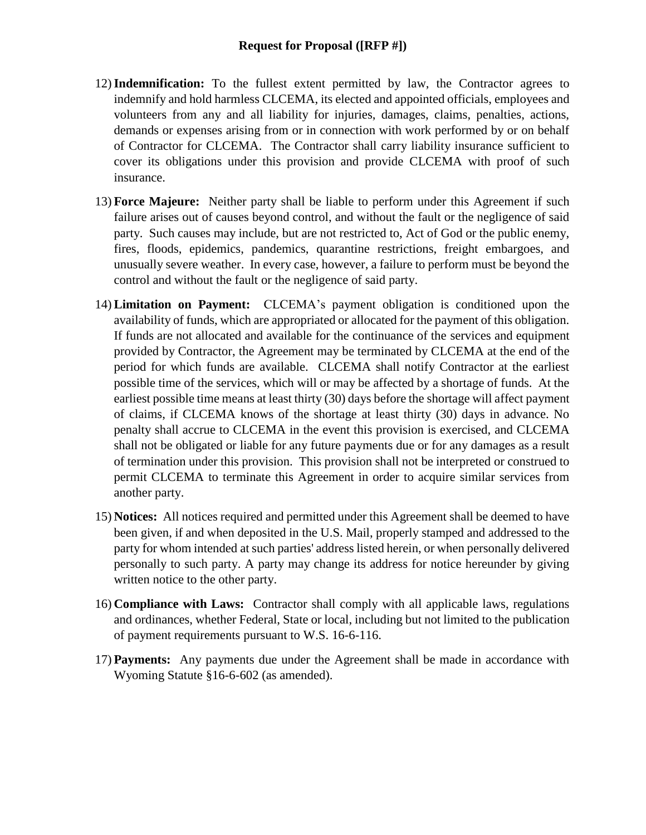- 12)**Indemnification:** To the fullest extent permitted by law, the Contractor agrees to indemnify and hold harmless CLCEMA, its elected and appointed officials, employees and volunteers from any and all liability for injuries, damages, claims, penalties, actions, demands or expenses arising from or in connection with work performed by or on behalf of Contractor for CLCEMA. The Contractor shall carry liability insurance sufficient to cover its obligations under this provision and provide CLCEMA with proof of such insurance.
- 13) **Force Majeure:** Neither party shall be liable to perform under this Agreement if such failure arises out of causes beyond control, and without the fault or the negligence of said party. Such causes may include, but are not restricted to, Act of God or the public enemy, fires, floods, epidemics, pandemics, quarantine restrictions, freight embargoes, and unusually severe weather. In every case, however, a failure to perform must be beyond the control and without the fault or the negligence of said party.
- 14)**Limitation on Payment:** CLCEMA's payment obligation is conditioned upon the availability of funds, which are appropriated or allocated for the payment of this obligation. If funds are not allocated and available for the continuance of the services and equipment provided by Contractor, the Agreement may be terminated by CLCEMA at the end of the period for which funds are available. CLCEMA shall notify Contractor at the earliest possible time of the services, which will or may be affected by a shortage of funds. At the earliest possible time means at least thirty (30) days before the shortage will affect payment of claims, if CLCEMA knows of the shortage at least thirty (30) days in advance. No penalty shall accrue to CLCEMA in the event this provision is exercised, and CLCEMA shall not be obligated or liable for any future payments due or for any damages as a result of termination under this provision. This provision shall not be interpreted or construed to permit CLCEMA to terminate this Agreement in order to acquire similar services from another party.
- 15) **Notices:** All notices required and permitted under this Agreement shall be deemed to have been given, if and when deposited in the U.S. Mail, properly stamped and addressed to the party for whom intended at such parties' address listed herein, or when personally delivered personally to such party. A party may change its address for notice hereunder by giving written notice to the other party.
- 16) **Compliance with Laws:** Contractor shall comply with all applicable laws, regulations and ordinances, whether Federal, State or local, including but not limited to the publication of payment requirements pursuant to W.S. 16-6-116.
- 17) **Payments:** Any payments due under the Agreement shall be made in accordance with Wyoming Statute §16-6-602 (as amended).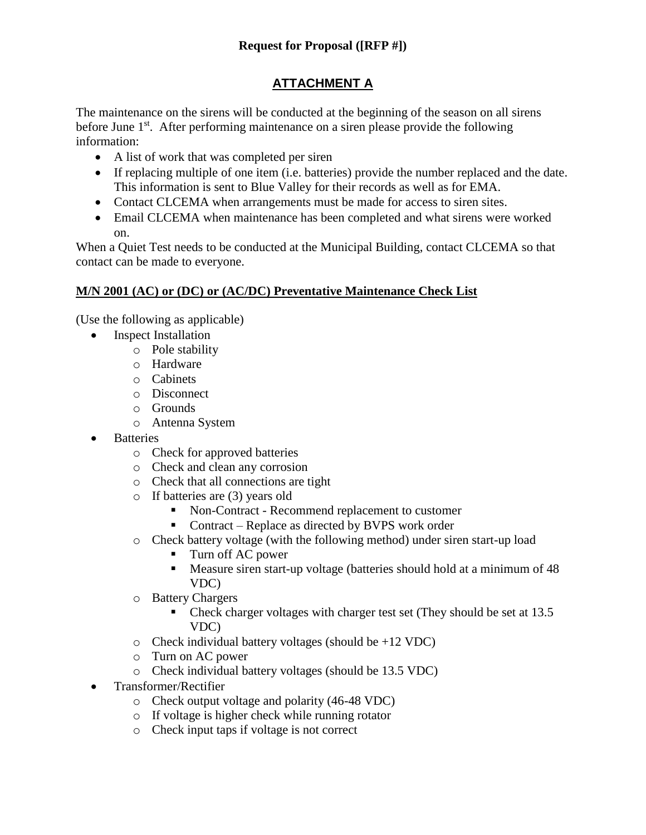# **ATTACHMENT A**

The maintenance on the sirens will be conducted at the beginning of the season on all sirens before June 1<sup>st</sup>. After performing maintenance on a siren please provide the following information:

- A list of work that was completed per siren
- If replacing multiple of one item (i.e. batteries) provide the number replaced and the date. This information is sent to Blue Valley for their records as well as for EMA.
- Contact CLCEMA when arrangements must be made for access to siren sites.
- Email CLCEMA when maintenance has been completed and what sirens were worked on.

When a Quiet Test needs to be conducted at the Municipal Building, contact CLCEMA so that contact can be made to everyone.

# **M/N 2001 (AC) or (DC) or (AC/DC) Preventative Maintenance Check List**

(Use the following as applicable)

- Inspect Installation
	- o Pole stability
	- o Hardware
	- o Cabinets
	- o Disconnect
	- o Grounds
	- o Antenna System
- Batteries
	- o Check for approved batteries
	- o Check and clean any corrosion
	- o Check that all connections are tight
	- o If batteries are (3) years old
		- Non-Contract Recommend replacement to customer
		- Contract Replace as directed by BVPS work order
	- o Check battery voltage (with the following method) under siren start-up load
		- Turn off AC power
		- Measure siren start-up voltage (batteries should hold at a minimum of 48 VDC)
	- o Battery Chargers
		- Check charger voltages with charger test set (They should be set at 13.5 VDC)
	- $\circ$  Check individual battery voltages (should be +12 VDC)
	- o Turn on AC power
	- o Check individual battery voltages (should be 13.5 VDC)
- Transformer/Rectifier
	- o Check output voltage and polarity (46-48 VDC)
	- o If voltage is higher check while running rotator
	- o Check input taps if voltage is not correct